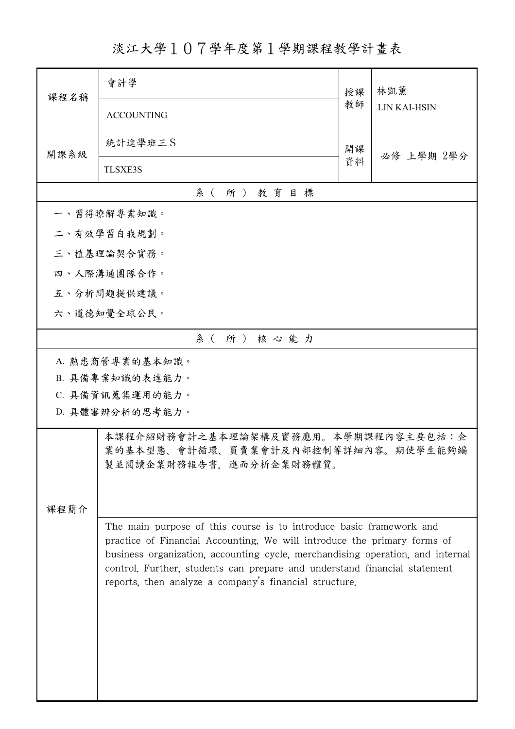淡江大學107學年度第1學期課程教學計畫表

| 課程名稱                                                                       | 會計學                                                                                                                                                        | 授課 | 林凱薰<br>LIN KAI-HSIN |  |  |  |
|----------------------------------------------------------------------------|------------------------------------------------------------------------------------------------------------------------------------------------------------|----|---------------------|--|--|--|
|                                                                            | <b>ACCOUNTING</b>                                                                                                                                          | 教師 |                     |  |  |  |
| 開課系級                                                                       | 統計進學班三S                                                                                                                                                    | 開課 | 必修 上學期 2學分          |  |  |  |
|                                                                            | <b>TLSXE3S</b>                                                                                                                                             | 資料 |                     |  |  |  |
| 系(所)教育目標                                                                   |                                                                                                                                                            |    |                     |  |  |  |
|                                                                            | 一、習得瞭解專業知識。                                                                                                                                                |    |                     |  |  |  |
| 二、有效學習自我規劃。                                                                |                                                                                                                                                            |    |                     |  |  |  |
|                                                                            | 三、植基理論契合實務。                                                                                                                                                |    |                     |  |  |  |
| 四、人際溝通團隊合作。                                                                |                                                                                                                                                            |    |                     |  |  |  |
|                                                                            | 五、分析問題提供建議。                                                                                                                                                |    |                     |  |  |  |
|                                                                            | 六、道德知覺全球公民。                                                                                                                                                |    |                     |  |  |  |
|                                                                            | 系(所)核心能力                                                                                                                                                   |    |                     |  |  |  |
| A. 熟悉商管專業的基本知識。                                                            |                                                                                                                                                            |    |                     |  |  |  |
|                                                                            | B. 具備專業知識的表達能力。                                                                                                                                            |    |                     |  |  |  |
|                                                                            | C. 具備資訊蒐集運用的能力。                                                                                                                                            |    |                     |  |  |  |
|                                                                            | D. 具體審辨分析的思考能力。                                                                                                                                            |    |                     |  |  |  |
| 本課程介紹財務會計之基本理論架構及實務應用。本學期課程內容主要包括:企<br>業的基本型態、會計循環、買賣業會計及內部控制等詳細內容。期使學生能夠編 |                                                                                                                                                            |    |                     |  |  |  |
|                                                                            | 製並閱讀企業財務報告書,進而分析企業財務體質。                                                                                                                                    |    |                     |  |  |  |
|                                                                            |                                                                                                                                                            |    |                     |  |  |  |
| 課程簡介                                                                       |                                                                                                                                                            |    |                     |  |  |  |
|                                                                            | The main purpose of this course is to introduce basic framework and                                                                                        |    |                     |  |  |  |
|                                                                            | practice of Financial Accounting. We will introduce the primary forms of<br>business organization, accounting cycle, merchandising operation, and internal |    |                     |  |  |  |
|                                                                            | control. Further, students can prepare and understand financial statement                                                                                  |    |                     |  |  |  |
|                                                                            | reports, then analyze a company's financial structure.                                                                                                     |    |                     |  |  |  |
|                                                                            |                                                                                                                                                            |    |                     |  |  |  |
|                                                                            |                                                                                                                                                            |    |                     |  |  |  |
|                                                                            |                                                                                                                                                            |    |                     |  |  |  |
|                                                                            |                                                                                                                                                            |    |                     |  |  |  |
|                                                                            |                                                                                                                                                            |    |                     |  |  |  |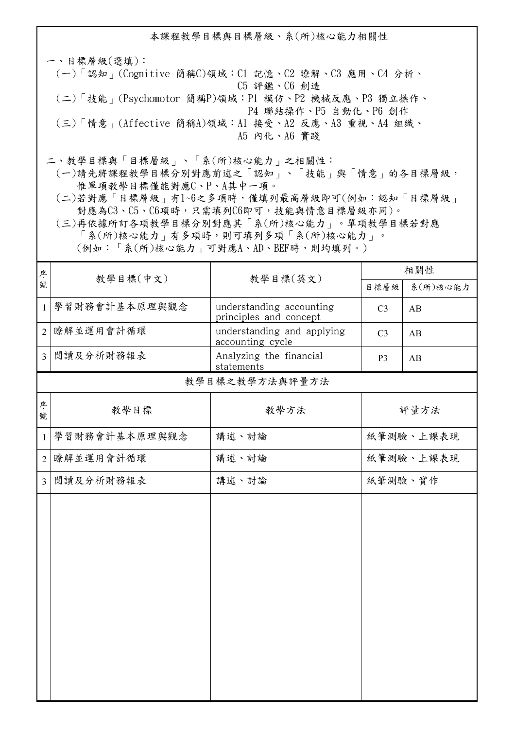本課程教學目標與目標層級、系(所)核心能力相關性 一、目標層級(選填): (一)「認知」(Cognitive 簡稱C)領域:C1 記憶、C2 瞭解、C3 應用、C4 分析、 C5 評鑑、C6 創造 (二)「技能」(Psychomotor 簡稱P)領域:P1 模仿、P2 機械反應、P3 獨立操作、 P4 聯結操作、P5 自動化、P6 創作 (三)「情意」(Affective 簡稱A)領域:A1 接受、A2 反應、A3 重視、A4 組織、 A5 內化、A6 實踐

二、教學目標與「目標層級」、「系(所)核心能力」之相關性:

 (一)請先將課程教學目標分別對應前述之「認知」、「技能」與「情意」的各目標層級, 惟單項教學目標僅能對應C、P、A其中一項。

 (二)若對應「目標層級」有1~6之多項時,僅填列最高層級即可(例如:認知「目標層級」 對應為C3、C5、C6項時,只需填列C6即可,技能與情意目標層級亦同)。

 (三)再依據所訂各項教學目標分別對應其「系(所)核心能力」。單項教學目標若對應 「系(所)核心能力」有多項時,則可填列多項「系(所)核心能力」。 (例如:「系(所)核心能力」可對應A、AD、BEF時,則均填列。)

<sup>分</sup> | 教學目標(中文) | 教學目標(英文) <sup>序</sup> 相關性 目標層級 系(所)核心能力 1 學習財務會計基本原理與觀念 | understanding accounting principles and concept  $C3$   $AB$  2 瞭解並運用會計循環 understanding and applying accounting cycle  $C3$   $AB$  3 閱讀及分析財務報表 Analyzing the financial statements  $P3$   $AB$ 序 | 教學目標 | 教學方法 號 教學目標之教學方法與評量方法 評量方法 1 學習財務會計基本原理與觀念 補述、討論 (紙筆測驗、上課表現 2 瞭解並運用會計循環 | 講述、討論 | | 紙筆測驗、上課表現 3 閲讀及分析財務報表 请述、討論 清理 刘瑞 机笔测验、实作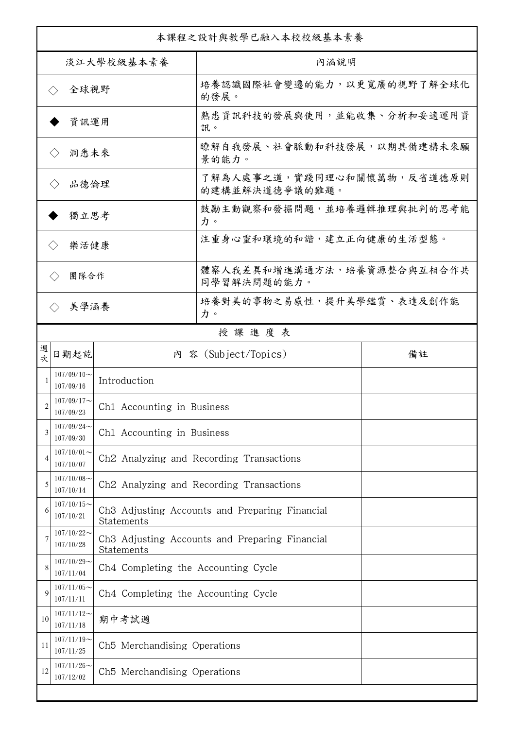| 本課程之設計與教學已融入本校校級基本素養                   |                             |                                     |                                                      |    |  |  |
|----------------------------------------|-----------------------------|-------------------------------------|------------------------------------------------------|----|--|--|
| 淡江大學校級基本素養                             |                             |                                     | 內涵說明                                                 |    |  |  |
| 全球視野<br>$\left\langle \ \right\rangle$ |                             |                                     | 培養認識國際社會變遷的能力,以更寬廣的視野了解全球化<br>的發展。                   |    |  |  |
|                                        | 資訊運用                        |                                     | 熟悉資訊科技的發展與使用,並能收集、分析和妥適運用資<br>訊。                     |    |  |  |
|                                        | 洞悉未來<br>$\langle \ \rangle$ |                                     | 瞭解自我發展、社會脈動和科技發展,以期具備建構未來願<br>景的能力。                  |    |  |  |
| 品德倫理                                   |                             |                                     | 了解為人處事之道,實踐同理心和關懷萬物,反省道德原則<br>的建構並解決道德爭議的難題。         |    |  |  |
| 獨立思考                                   |                             |                                     | 鼓勵主動觀察和發掘問題,並培養邏輯推理與批判的思考能<br>力。                     |    |  |  |
|                                        | 樂活健康<br>$\langle$ $\rangle$ |                                     | 注重身心靈和環境的和諧,建立正向健康的生活型態。                             |    |  |  |
| 團隊合作<br>$\langle \, \rangle$           |                             |                                     | 體察人我差異和增進溝通方法,培養資源整合與互相合作共<br>同學習解決問題的能力。            |    |  |  |
|                                        | 美學涵養<br>$\langle \ \rangle$ |                                     | 培養對美的事物之易感性,提升美學鑑賞、表達及創作能<br>力。                      |    |  |  |
|                                        |                             |                                     | 授課進度表                                                |    |  |  |
| 週<br>次                                 | 日期起訖                        |                                     | 內 容 (Subject/Topics)                                 | 備註 |  |  |
|                                        | $107/09/10$ ~<br>107/09/16  | Introduction                        |                                                      |    |  |  |
| 2                                      | $107/09/17$ ~<br>107/09/23  | Ch1 Accounting in Business          |                                                      |    |  |  |
| 3                                      | $107/09/24$ ~<br>107/09/30  | Ch1 Accounting in Business          |                                                      |    |  |  |
| $\overline{4}$                         | $107/10/01$ ~<br>107/10/07  |                                     | Ch <sub>2</sub> Analyzing and Recording Transactions |    |  |  |
| 5                                      | $107/10/08$ ~<br>107/10/14  |                                     | Ch <sub>2</sub> Analyzing and Recording Transactions |    |  |  |
| 6                                      | $107/10/15$ ~<br>107/10/21  | Statements                          | Ch3 Adjusting Accounts and Preparing Financial       |    |  |  |
| 7                                      | $107/10/22$ ~<br>107/10/28  | Statements                          | Ch3 Adjusting Accounts and Preparing Financial       |    |  |  |
| 8                                      | $107/10/29$ ~<br>107/11/04  | Ch4 Completing the Accounting Cycle |                                                      |    |  |  |
| $\mathbf Q$                            | $107/11/05$ ~<br>107/11/11  | Ch4 Completing the Accounting Cycle |                                                      |    |  |  |
| 10                                     | $107/11/12$ ~<br>107/11/18  | 期中考試週                               |                                                      |    |  |  |
| 11                                     | $107/11/19$ ~<br>107/11/25  | Ch5 Merchandising Operations        |                                                      |    |  |  |
| 12                                     | $107/11/26$ ~<br>107/12/02  | Ch5 Merchandising Operations        |                                                      |    |  |  |
|                                        |                             |                                     |                                                      |    |  |  |